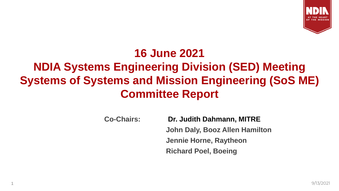

# **16 June 2021 NDIA Systems Engineering Division (SED) Meeting Systems of Systems and Mission Engineering (SoS ME) Committee Report**

**Co-Chairs: Dr. Judith Dahmann, MITRE John Daly, Booz Allen Hamilton Jennie Horne, Raytheon Richard Poel, Boeing**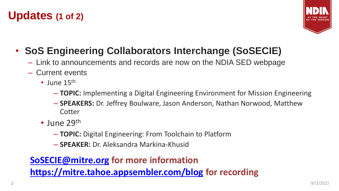### **Updates (1 of 2)**



## • **SoS Engineering Collaborators Interchange (SoSECIE)**

- Link to announcements and records are now on the NDIA SED webpage
- Current events
	- June  $15<sup>th</sup>$ 
		- **TOPIC:** Implementing a Digital Engineering Environment for Mission Engineering
		- **SPEAKERS:** Dr. Jeffrey Boulware, Jason Anderson, Nathan Norwood, Matthew **Cotter**
	- June 29<sup>th</sup>
		- **TOPIC:** Digital Engineering: From Toolchain to Platform
		- **SPEAKER:** Dr. Aleksandra Markina-Khusid

### **[SoSECIE@mitre.org](mailto:SoSECIE@mitre.org) for more information <https://mitre.tahoe.appsembler.com/blog> for recording**